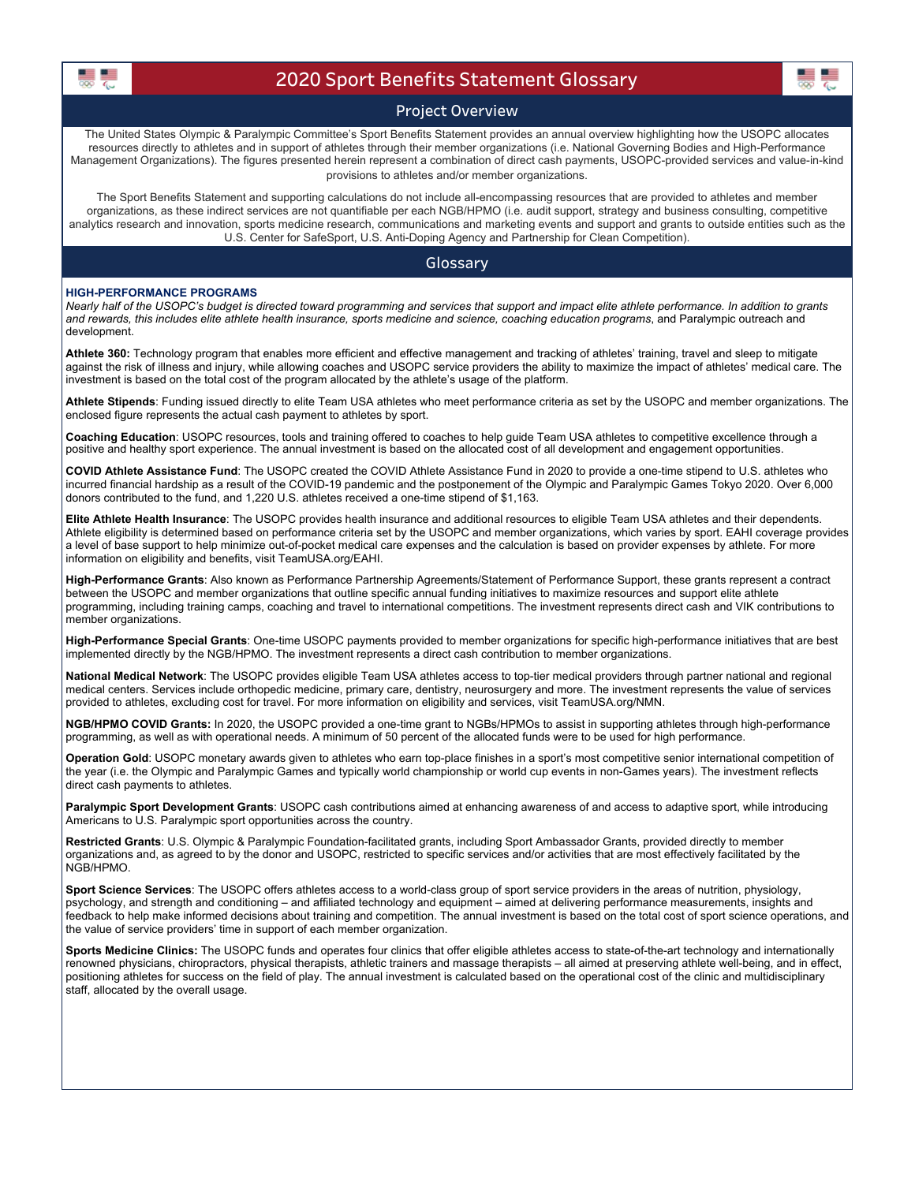

# 2020 Sport Benefits Statement Glossary

## Project Overview

The United States Olympic & Paralympic Committee's Sport Benefits Statement provides an annual overview highlighting how the USOPC allocates resources directly to athletes and in support of athletes through their member organizations (i.e. National Governing Bodies and High-Performance Management Organizations). The figures presented herein represent a combination of direct cash payments, USOPC-provided services and value-in-kind provisions to athletes and/or member organizations.

The Sport Benefits Statement and supporting calculations do not include all-encompassing resources that are provided to athletes and member organizations, as these indirect services are not quantifiable per each NGB/HPMO (i.e. audit support, strategy and business consulting, competitive analytics research and innovation, sports medicine research, communications and marketing events and support and grants to outside entities such as the U.S. Center for SafeSport, U.S. Anti-Doping Agency and Partnership for Clean Competition).

### Glossary

#### HIGH-PERFORMANCE PROGRAMS

Nearly half of the USOPC's budget is directed toward programming and services that support and impact elite athlete performance. In addition to grants and rewards, this includes elite athlete health insurance, sports medicine and science, coaching education programs, and Paralympic outreach and development.

Athlete 360: Technology program that enables more efficient and effective management and tracking of athletes' training, travel and sleep to mitigate against the risk of illness and injury, while allowing coaches and USOPC service providers the ability to maximize the impact of athletes' medical care. The investment is based on the total cost of the program allocated by the athlete's usage of the platform.

Athlete Stipends: Funding issued directly to elite Team USA athletes who meet performance criteria as set by the USOPC and member organizations. The enclosed figure represents the actual cash payment to athletes by sport.

Coaching Education: USOPC resources, tools and training offered to coaches to help guide Team USA athletes to competitive excellence through a positive and healthy sport experience. The annual investment is based on the allocated cost of all development and engagement opportunities.

COVID Athlete Assistance Fund: The USOPC created the COVID Athlete Assistance Fund in 2020 to provide a one-time stipend to U.S. athletes who incurred financial hardship as a result of the COVID-19 pandemic and the postponement of the Olympic and Paralympic Games Tokyo 2020. Over 6,000 donors contributed to the fund, and 1,220 U.S. athletes received a one-time stipend of \$1,163.

Elite Athlete Health Insurance: The USOPC provides health insurance and additional resources to eligible Team USA athletes and their dependents. Athlete eligibility is determined based on performance criteria set by the USOPC and member organizations, which varies by sport. EAHI coverage provides a level of base support to help minimize out-of-pocket medical care expenses and the calculation is based on provider expenses by athlete. For more information on eligibility and benefits, v[isit TeamUSA.org/EAHI](http://TeamUSA.org/EAHI).

High-Performance Grants: Also known as Performance Partnership Agreements/Statement of Performance Support, these grants represent a contract between the USOPC and member organizations that outline specific annual funding initiatives to maximize resources and support elite athlete programming, including training camps, coaching and travel to international competitions. The investment represents direct cash and VIK contributions to member organizations.

High-Performance Special Grants: One-time USOPC payments provided to member organizations for specific high-performance initiatives that are best implemented directly by the NGB/HPMO. The investment represents a direct cash contribution to member organizations.

National Medical Network: The USOPC provides eligible Team USA athletes access to top-tier medical providers through partner national and regional medical centers. Services include orthopedic medicine, primary care, dentistry, neurosurgery and more. The investment represents the value of services provided to athletes, excluding cost for travel. For more information on eligibility and services, v[isit TeamUSA.org/NMN.](http://TeamUSA.org/NMN)

NGB/HPMO COVID Grants: In 2020, the USOPC provided a one-time grant to NGBs/HPMOs to assist in supporting athletes through high-performance programming, as well as with operational needs. A minimum of 50 percent of the allocated funds were to be used for high performance.

Operation Gold: USOPC monetary awards given to athletes who earn top-place finishes in a sport's most competitive senior international competition of the year (i.e. the Olympic and Paralympic Games and typically world championship or world cup events in non-Games years). The investment reflects direct cash payments to athletes.

Paralympic Sport Development Grants: USOPC cash contributions aimed at enhancing awareness of and access to adaptive sport, while introducing Americans to U.S. Paralympic sport opportunities across the country.

Restricted Grants: U.S. Olympic & Paralympic Foundation-facilitated grants, including Sport Ambassador Grants, provided directly to member organizations and, as agreed to by the donor and USOPC, restricted to specific services and/or activities that are most effectively facilitated by the NGB/HPMO.

Sport Science Services: The USOPC offers athletes access to a world-class group of sport service providers in the areas of nutrition, physiology, psychology, and strength and conditioning – and affiliated technology and equipment – aimed at delivering performance measurements, insights and feedback to help make informed decisions about training and competition. The annual investment is based on the total cost of sport science operations, and the value of service providers' time in support of each member organization.

Sports Medicine Clinics: The USOPC funds and operates four clinics that offer eligible athletes access to state-of-the-art technology and internationally renowned physicians, chiropractors, physical therapists, athletic trainers and massage therapists – all aimed at preserving athlete well-being, and in effect, positioning athletes for success on the field of play. The annual investment is calculated based on the operational cost of the clinic and multidisciplinary staff, allocated by the overall usage.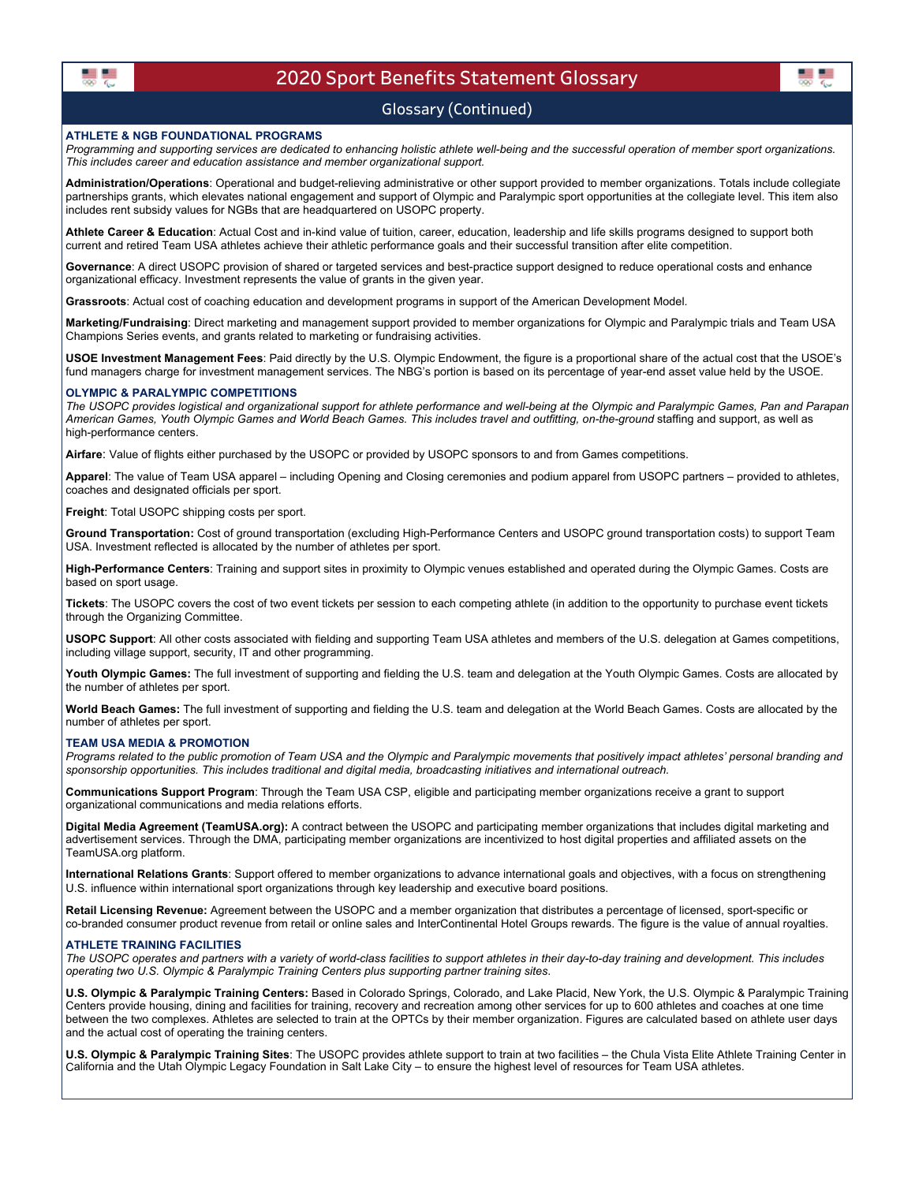

## 2020 Sport Benefits Statement Glossary

## Glossary (Continued)

#### ATHLETE & NGB FOUNDATIONAL PROGRAMS

Programming and supporting services are dedicated to enhancing holistic athlete well-being and the successful operation of member sport organizations. This includes career and education assistance and member organizational support.

Administration/Operations: Operational and budget-relieving administrative or other support provided to member organizations. Totals include collegiate partnerships grants, which elevates national engagement and support of Olympic and Paralympic sport opportunities at the collegiate level. This item also includes rent subsidy values for NGBs that are headquartered on USOPC property.

Athlete Career & Education: Actual Cost and in-kind value of tuition, career, education, leadership and life skills programs designed to support both current and retired Team USA athletes achieve their athletic performance goals and their successful transition after elite competition.

Governance: A direct USOPC provision of shared or targeted services and best-practice support designed to reduce operational costs and enhance organizational efficacy. Investment represents the value of grants in the given year.

Grassroots: Actual cost of coaching education and development programs in support of the American Development Model.

Marketing/Fundraising: Direct marketing and management support provided to member organizations for Olympic and Paralympic trials and Team USA Champions Series events, and grants related to marketing or fundraising activities.

USOE Investment Management Fees: Paid directly by the U.S. Olympic Endowment, the figure is a proportional share of the actual cost that the USOE's fund managers charge for investment management services. The NBG's portion is based on its percentage of year-end asset value held by the USOE.

#### OLYMPIC & PARALYMPIC COMPETITIONS

The USOPC provides logistical and organizational support for athlete performance and well-being at the Olympic and Paralympic Games, Pan and Parapan American Games, Youth Olympic Games and World Beach Games. This includes travel and outfitting, on-the-ground staffing and support, as well as high-performance centers.

Airfare: Value of flights either purchased by the USOPC or provided by USOPC sponsors to and from Games competitions.

Apparel: The value of Team USA apparel – including Opening and Closing ceremonies and podium apparel from USOPC partners – provided to athletes, coaches and designated officials per sport.

Freight: Total USOPC shipping costs per sport.

Ground Transportation: Cost of ground transportation (excluding High-Performance Centers and USOPC ground transportation costs) to support Team USA. Investment reflected is allocated by the number of athletes per sport.

High-Performance Centers: Training and support sites in proximity to Olympic venues established and operated during the Olympic Games. Costs are based on sport usage.

Tickets: The USOPC covers the cost of two event tickets per session to each competing athlete (in addition to the opportunity to purchase event tickets through the Organizing Committee.

USOPC Support: All other costs associated with fielding and supporting Team USA athletes and members of the U.S. delegation at Games competitions, including village support, security, IT and other programming.

Youth Olympic Games: The full investment of supporting and fielding the U.S. team and delegation at the Youth Olympic Games. Costs are allocated by the number of athletes per sport.

World Beach Games: The full investment of supporting and fielding the U.S. team and delegation at the World Beach Games. Costs are allocated by the number of athletes per sport.

#### TEAM USA MEDIA & PROMOTION

Programs related to the public promotion of Team USA and the Olympic and Paralympic movements that positively impact athletes' personal branding and sponsorship opportunities. This includes traditional and digital media, broadcasting initiatives and international outreach.

Communications Support Program: Through the Team USA CSP, eligible and participating member organizations receive a grant to support organizational communications and media relations efforts.

Digital Media Agreeme[nt \(TeamUSA.org\):](http://TeamUSA.org) A contract between the USOPC and participating member organizations that includes digital marketing and advertisement services. Through the DMA, participating member organizations are incentivized to host digital properties and affiliated assets on the [TeamUSA.org](http://TeamUSA.org) platform.

International Relations Grants: Support offered to member organizations to advance international goals and objectives, with a focus on strengthening U.S. influence within international sport organizations through key leadership and executive board positions.

Retail Licensing Revenue: Agreement between the USOPC and a member organization that distributes a percentage of licensed, sport-specific or co-branded consumer product revenue from retail or online sales and InterContinental Hotel Groups rewards. The figure is the value of annual royalties.

#### ATHLETE TRAINING FACILITIES

The USOPC operates and partners with a variety of world-class facilities to support athletes in their day-to-day training and development. This includes operating two U.S. Olympic & Paralympic Training Centers plus supporting partner training sites.

U.S. Olympic & Paralympic Training Centers: Based in Colorado Springs, Colorado, and Lake Placid, New York, the U.S. Olympic & Paralympic Training Centers provide housing, dining and facilities for training, recovery and recreation among other services for up to 600 athletes and coaches at one time between the two complexes. Athletes are selected to train at the OPTCs by their member organization. Figures are calculated based on athlete user days and the actual cost of operating the training centers.

U.S. Olympic & Paralympic Training Sites: The USOPC provides athlete support to train at two facilities - the Chula Vista Elite Athlete Training Center in California and the Utah Olympic Legacy Foundation in Salt Lake City – to ensure the highest level of resources for Team USA athletes.

黒島